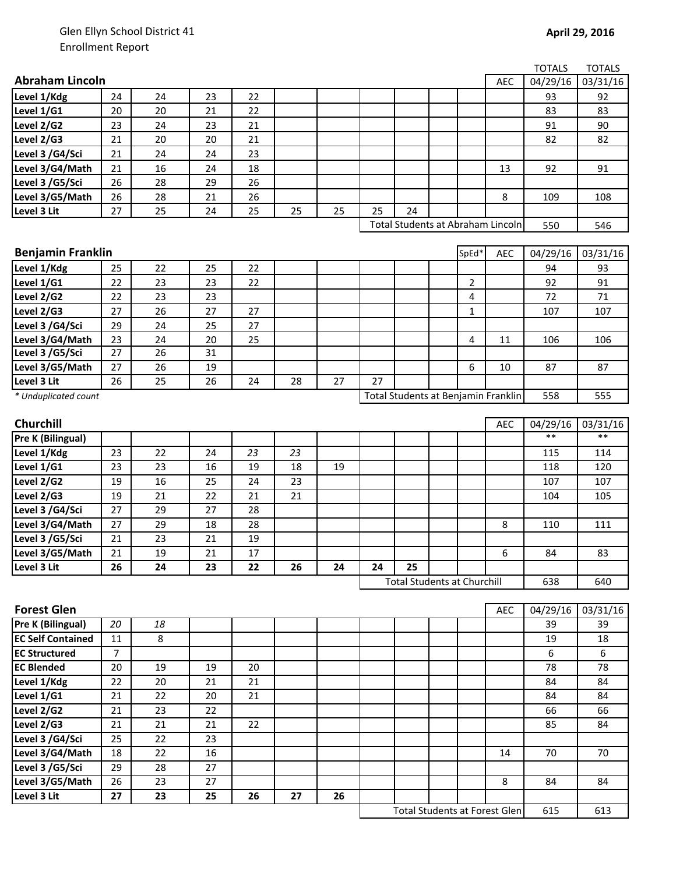|                          |                |    |    |    |    |    |    |                                     |             |            | <b>TOTALS</b> | <b>TOTALS</b> |
|--------------------------|----------------|----|----|----|----|----|----|-------------------------------------|-------------|------------|---------------|---------------|
| <b>Abraham Lincoln</b>   |                |    |    |    |    |    |    |                                     |             | <b>AEC</b> | 04/29/16      | 03/31/16      |
| Level 1/Kdg              | 24             | 24 | 23 | 22 |    |    |    |                                     |             |            | 93            | 92            |
| Level 1/G1               | 20             | 20 | 21 | 22 |    |    |    |                                     |             |            | 83            | 83            |
| Level 2/G2               | 23             | 24 | 23 | 21 |    |    |    |                                     |             |            | 91            | 90            |
| Level 2/G3               | 21             | 20 | 20 | 21 |    |    |    |                                     |             |            | 82            | 82            |
| Level 3 /G4/Sci          | 21             | 24 | 24 | 23 |    |    |    |                                     |             |            |               |               |
| Level 3/G4/Math          | 21             | 16 | 24 | 18 |    |    |    |                                     |             | 13         | 92            | 91            |
| Level 3 /G5/Sci          | 26             | 28 | 29 | 26 |    |    |    |                                     |             |            |               |               |
| Level 3/G5/Math          | 26             | 28 | 21 | 26 |    |    |    |                                     |             | 8          | 109           | 108           |
| Level 3 Lit              | 27             | 25 | 24 | 25 | 25 | 25 | 25 | 24                                  |             |            |               |               |
|                          |                |    |    |    |    |    |    | Total Students at Abraham Lincoln   |             |            | 550           | 546           |
|                          |                |    |    |    |    |    |    |                                     |             |            |               |               |
| <b>Benjamin Franklin</b> |                |    |    |    |    |    |    |                                     | SpEd*       | <b>AEC</b> | 04/29/16      | 03/31/16      |
| Level 1/Kdg              | 25             | 22 | 25 | 22 |    |    |    |                                     |             |            | 94            | 93            |
| Level 1/G1               | 22             | 23 | 23 | 22 |    |    |    |                                     | 2           |            | 92            | 91            |
| Level 2/G2               | 22             | 23 | 23 |    |    |    |    |                                     | 4           |            | 72            | $71\,$        |
| Level 2/G3               | 27             | 26 | 27 | 27 |    |    |    |                                     | $\mathbf 1$ |            | 107           | 107           |
| Level 3 /G4/Sci          | 29             | 24 | 25 | 27 |    |    |    |                                     |             |            |               |               |
| Level 3/G4/Math          | 23             | 24 | 20 | 25 |    |    |    |                                     | 4           | 11         | 106           | 106           |
| Level 3 /G5/Sci          | 27             | 26 | 31 |    |    |    |    |                                     |             |            |               |               |
| Level 3/G5/Math          | 27             | 26 | 19 |    |    |    |    |                                     | 6           | 10         | 87            | 87            |
| Level 3 Lit              | 26             | 25 | 26 | 24 | 28 | 27 | 27 |                                     |             |            |               |               |
| * Unduplicated count     |                |    |    |    |    |    |    | Total Students at Benjamin Franklin |             |            | 558           | 555           |
|                          |                |    |    |    |    |    |    |                                     |             |            |               |               |
| Churchill                |                |    |    |    |    |    |    |                                     |             | <b>AEC</b> | 04/29/16      | 03/31/16      |
| Pre K (Bilingual)        |                |    |    |    |    |    |    |                                     |             |            | $***$         | $***$         |
| Level 1/Kdg              | 23             | 22 | 24 | 23 | 23 |    |    |                                     |             |            | 115           | 114           |
| Level 1/G1               | 23             | 23 | 16 | 19 | 18 | 19 |    |                                     |             |            | 118           | 120           |
| Level 2/G2               | 19             | 16 | 25 | 24 | 23 |    |    |                                     |             |            | 107           | 107           |
| Level 2/G3               | 19             | 21 | 22 | 21 | 21 |    |    |                                     |             |            | 104           | 105           |
| Level 3 /G4/Sci          | 27             | 29 | 27 | 28 |    |    |    |                                     |             |            |               |               |
| Level 3/G4/Math          | 27             | 29 | 18 | 28 |    |    |    |                                     |             | 8          | 110           | 111           |
| Level 3 /G5/Sci          | 21             | 23 | 21 | 19 |    |    |    |                                     |             |            |               |               |
| Level 3/G5/Math          | 21             | 19 | 21 | 17 |    |    |    |                                     |             | 6          | 84            | 83            |
| Level 3 Lit              | 26             | 24 | 23 | 22 | 26 | 24 | 24 | 25                                  |             |            |               |               |
|                          |                |    |    |    |    |    |    | <b>Total Students at Churchill</b>  |             |            | 638           | 640           |
|                          |                |    |    |    |    |    |    |                                     |             |            |               |               |
| <b>Forest Glen</b>       |                |    |    |    |    |    |    |                                     |             | AEC        | 04/29/16      | 03/31/16      |
| <b>Pre K (Bilingual)</b> | 20             | 18 |    |    |    |    |    |                                     |             |            | 39            | 39            |
| <b>EC Self Contained</b> | 11             | 8  |    |    |    |    |    |                                     |             |            | 19            | 18            |
| <b>EC Structured</b>     | $\overline{7}$ |    |    |    |    |    |    |                                     |             |            | 6             | 6             |
| <b>EC Blended</b>        | 20             | 19 | 19 | 20 |    |    |    |                                     |             |            | 78            | 78            |
| Level 1/Kdg              | 22             | 20 | 21 | 21 |    |    |    |                                     |             |            | 84            | 84            |
| Level 1/G1               | 21             | 22 | 20 | 21 |    |    |    |                                     |             |            | 84            | 84            |
| Level 2/G2               | 21             | 23 | 22 |    |    |    |    |                                     |             |            | 66            | 66            |
| Level 2/G3               | 21             | 21 | 21 | 22 |    |    |    |                                     |             |            | 85            | 84            |
| Level 3 /G4/Sci          | 25             | 22 | 23 |    |    |    |    |                                     |             |            |               |               |
| Level 3/G4/Math          | 18             | 22 | 16 |    |    |    |    |                                     |             | 14         | 70            | 70            |
| Level 3 /G5/Sci          | 29             | 28 | 27 |    |    |    |    |                                     |             |            |               |               |
| Level 3/G5/Math          | 26             | 23 | 27 |    |    |    |    |                                     |             | 8          | 84            | 84            |
| Level 3 Lit              | 27             | 23 | 25 | 26 | 27 | 26 |    |                                     |             |            |               |               |

615 613 Total Students at Forest Glen

 $\overline{\phantom{a}}$